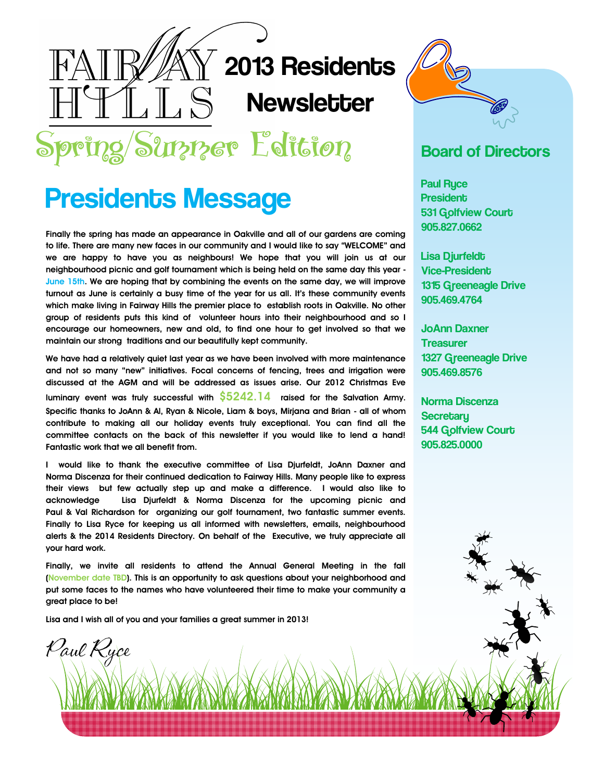# $\rm \bar{N}$  2013 Residents **Newsletter**

Spring/Surrer Edition

 $\mathbb{L} S$ 

## Presidents Message

**Finally the spring has made an appearance in Oakville and all of our gardens are coming to life. There are many new faces in our community and I would like to say "WELCOME" and we are happy to have you as neighbours! We hope that you will join us at our neighbourhood picnic and golf tournament which is being held on the same day this year - June 15th. We are hoping that by combining the events on the same day, we will improve turnout as June is certainly a busy time of the year for us all. It's these community events which make living in Fairway Hills the premier place to establish roots in Oakville. No other group of residents puts this kind of volunteer hours into their neighbourhood and so I encourage our homeowners, new and old, to find one hour to get involved so that we maintain our strong traditions and our beautifully kept community.** 

**We have had a relatively quiet last year as we have been involved with more maintenance and not so many "new" initiatives. Focal concerns of fencing, trees and irrigation were discussed at the AGM and will be addressed as issues arise. Our 2012 Christmas Eve luminary event was truly successful with \$5242.14 raised for the Salvation Army. Specific thanks to JoAnn & Al, Ryan & Nicole, Liam & boys, Mirjana and Brian - all of whom contribute to making all our holiday events truly exceptional. You can find all the committee contacts on the back of this newsletter if you would like to lend a hand! Fantastic work that we all benefit from.** 

**I would like to thank the executive committee of Lisa Djurfeldt, JoAnn Daxner and Norma Discenza for their continued dedication to Fairway Hills. Many people like to express their views but few actually step up and make a difference. I would also like to acknowledge Lisa Djurfeldt & Norma Discenza for the upcoming picnic and Paul & Val Richardson for organizing our golf tournament, two fantastic summer events. Finally to Lisa Ryce for keeping us all informed with newsletters, emails, neighbourhood alerts & the 2014 Residents Directory. On behalf of the Executive, we truly appreciate all your hard work.**

**Finally, we invite all residents to attend the Annual General Meeting in the fall (November date TBD). This is an opportunity to ask questions about your neighborhood and put some faces to the names who have volunteered their time to make your community a great place to be!** 

**Lisa and I wish all of you and your families a great summer in 2013!**



#### Board of Directors

Paul Ryce **President** 531 Golfview Court 905.827.0662

Lisa Djurfeldt Vice-President 1315 Greeneagle Drive 905.469.4764

JoAnn Daxner **Treasurer** 1327 Greeneagle Drive 905.469.8576

Norma Discenza **Secretary** 544 Golfview Court 905.825.0000

Paul Ryce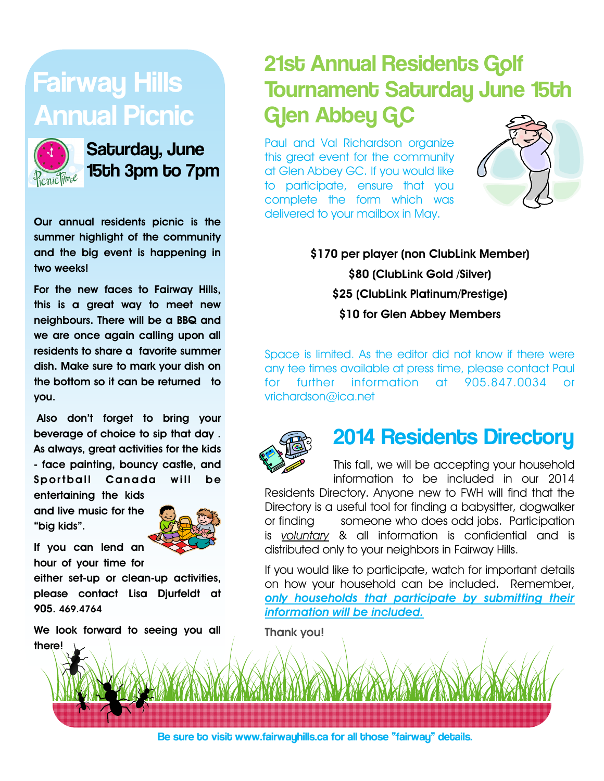# Fairway Hills Annual Picnic



Saturday, June 15th 3pm to 7pm

**Our annual residents picnic is the summer highlight of the community and the big event is happening in two weeks!**

**For the new faces to Fairway Hills, this is a great way to meet new neighbours. There will be a BBQ and we are once again calling upon all residents to share a favorite summer dish. Make sure to mark your dish on the bottom so it can be returned to you.** 

**Also don't forget to bring your beverage of choice to sip that day . As always, great activities for the kids - face painting, bouncy castle, and Sportball Canada will be entertaining the kids** 

**and live music for the "big kids".** 

**If you can lend an** 



**hour of your time for either set-up or clean-up activities,** 

**please contact Lisa Djurfeldt at 905. 469.4764** 

**We look forward to seeing you all there!** 

### 21st Annual Residents Golf Tournament Saturday June 15th Glen Abbey GC

Paul and Val Richardson organize this great event for the community at Glen Abbey GC. If you would like to participate, ensure that you complete the form which was delivered to your mailbox in May.



**\$170 per player (non ClubLink Member) \$80 (ClubLink Gold /Silver) \$25 (ClubLink Platinum/Prestige) \$10 for Glen Abbey Members**

Space is limited. As the editor did not know if there were any tee times available at press time, please contact Paul for further information at 905.847.0034 or vrichardson@ica.net



#### 2014 Residents Directory

This fall, we will be accepting your household information to be included in our 2014 Residents Directory. Anyone new to FWH will find that the Directory is a useful tool for finding a babysitter, dogwalker or finding someone who does odd jobs. Participation is *voluntary* & all information is confidential and is distributed only to your neighbors in Fairway Hills.

If you would like to participate, watch for important details on how your household can be included. Remember, *only households that participate by submitting their information will be included.* 

**Thank you!** 

Be sure to visit www.fairwayhills.ca for all those "fairway" details.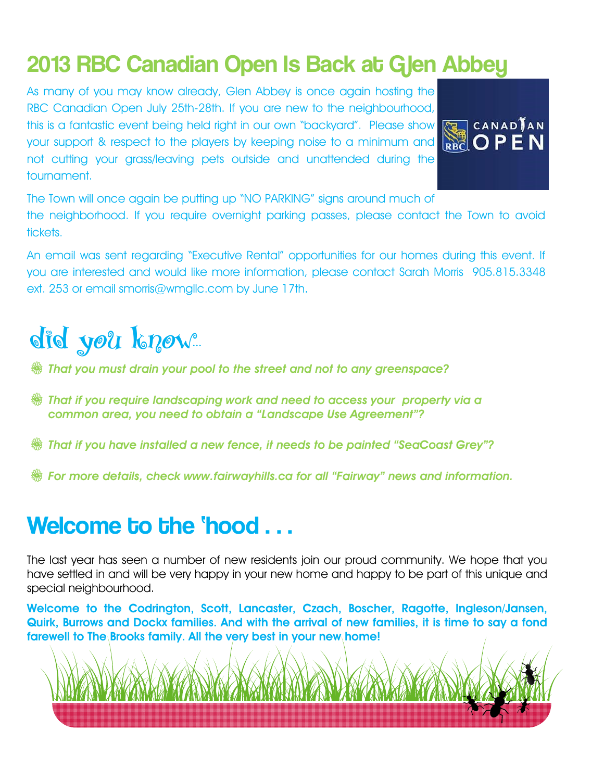### 2013 RBC Canadian Open Is Back at Glen Abbey

As many of you may know already, Glen Abbey is once again hosting the RBC Canadian Open July 25th-28th. If you are new to the neighbourhood, this is a fantastic event being held right in our own "backyard". Please show your support & respect to the players by keeping noise to a minimum and **RBC**. not cutting your grass/leaving pets outside and unattended during the tournament.



The Town will once again be putting up "NO PARKING" signs around much of

the neighborhood. If you require overnight parking passes, please contact the Town to avoid tickets.

An email was sent regarding "Executive Rental" opportunities for our homes during this event. If you are interested and would like more information, please contact Sarah Morris 905.815.3348 ext. 253 or email smorris@wmgllc.com by June 17th.

# did you know

V *That you must drain your pool to the street and not to any greenspace?* 

- V *That if you require landscaping work and need to access your property via a common area, you need to obtain a "Landscape Use Agreement"?*
- V *That if you have installed a new fence, it needs to be painted "SeaCoast Grey"?*
- V *For more details, check www.fairwayhills.ca for all "Fairway" news and information.*

### Welcome to the 'hood . . .

The last year has seen a number of new residents join our proud community. We hope that you have settled in and will be very happy in your new home and happy to be part of this unique and special neighbourhood.

**Welcome to the Codrington, Scott, Lancaster, Czach, Boscher, Ragotte, Ingleson/Jansen, Quirk, Burrows and Dockx families. And with the arrival of new families, it is time to say a fond farewell to The Brooks family. All the very best in your new home!**